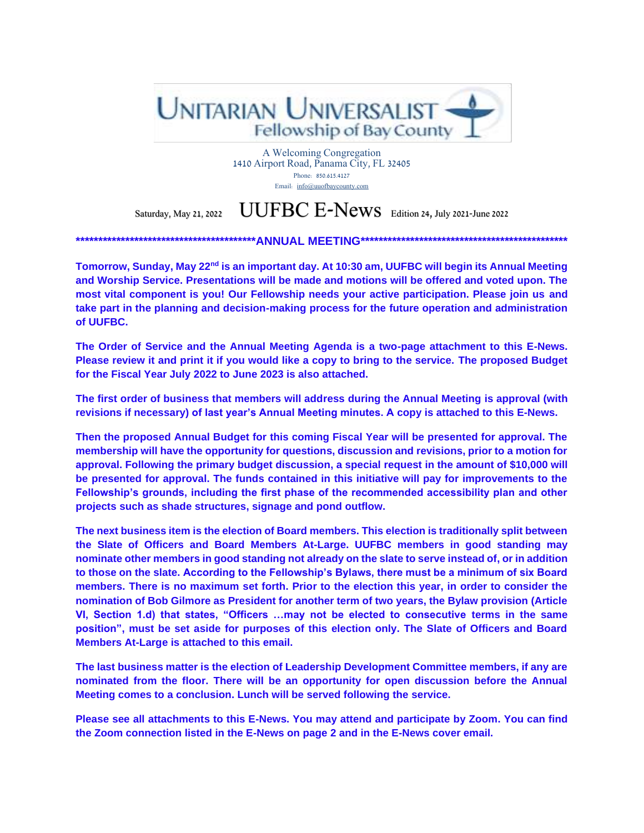

A Welcoming Congregation 1410 Airport Road, Panama City, FL 32405 Phone: 850.615.4127 Email: [info@uuofbaycounty.com](mailto:info@uuofbaycounty.com)

# Saturday, May 21, 2022  $\text{UUFBC E-News}$  Edition 24, July 2021-June 2022

**\*\*\*\*\*\*\*\*\*\*\*\*\*\*\*\*\*\*\*\*\*\*\*\*\*\*\*\*\*\*\*\*\*\*\*\*\*\*\*\*ANNUAL MEETING\*\*\*\*\*\*\*\*\*\*\*\*\*\*\*\*\*\*\*\*\*\*\*\*\*\*\*\*\*\*\*\*\*\*\*\*\*\*\*\*\*\*\*\*\*\***

**Tomorrow, Sunday, May 22nd is an important day. At 10:30 am, UUFBC will begin its Annual Meeting and Worship Service. Presentations will be made and motions will be offered and voted upon. The most vital component is you! Our Fellowship needs your active participation. Please join us and take part in the planning and decision-making process for the future operation and administration of UUFBC.**

**The Order of Service and the Annual Meeting Agenda is a two-page attachment to this E-News. Please review it and print it if you would like a copy to bring to the service. The proposed Budget for the Fiscal Year July 2022 to June 2023 is also attached.**

**The first order of business that members will address during the Annual Meeting is approval (with revisions if necessary) of last year's Annual Meeting minutes. A copy is attached to this E-News.**

**Then the proposed Annual Budget for this coming Fiscal Year will be presented for approval. The membership will have the opportunity for questions, discussion and revisions, prior to a motion for approval. Following the primary budget discussion, a special request in the amount of \$10,000 will be presented for approval. The funds contained in this initiative will pay for improvements to the Fellowship's grounds, including the first phase of the recommended accessibility plan and other projects such as shade structures, signage and pond outflow.**

**The next business item is the election of Board members. This election is traditionally split between the Slate of Officers and Board Members At-Large. UUFBC members in good standing may nominate other members in good standing not already on the slate to serve instead of, or in addition to those on the slate. According to the Fellowship's Bylaws, there must be a minimum of six Board members. There is no maximum set forth. Prior to the election this year, in order to consider the nomination of Bob Gilmore as President for another term of two years, the Bylaw provision (Article VI, Section 1.d) that states, "Officers …may not be elected to consecutive terms in the same position", must be set aside for purposes of this election only. The Slate of Officers and Board Members At-Large is attached to this email.**

**The last business matter is the election of Leadership Development Committee members, if any are nominated from the floor. There will be an opportunity for open discussion before the Annual Meeting comes to a conclusion. Lunch will be served following the service.**

**Please see all attachments to this E-News. You may attend and participate by Zoom. You can find the Zoom connection listed in the E-News on page 2 and in the E-News cover email.**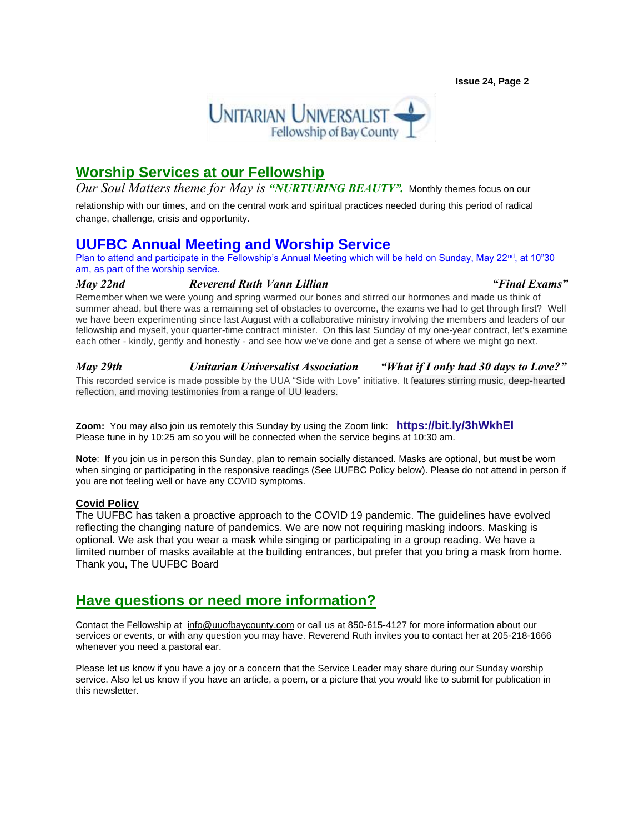

## **Worship Services at our Fellowship**

*Our Soul Matters theme for May is "NURTURING BEAUTY".* Monthly themes focus on our

relationship with our times, and on the central work and spiritual practices needed during this period of radical change, challenge, crisis and opportunity.

## **UUFBC Annual Meeting and Worship Service**

Plan to attend and participate in the Fellowship's Annual Meeting which will be held on Sunday, May 22<sup>nd</sup>, at 10"30 am, as part of the worship service.

#### *May 22nd [Reverend Ruth Vann Lillian](https://www.uuofbaycounty.com/multimedia-archive/jan-30-i-dont-want-to-be-nice/) "[Final Exams](https://www.uuofbaycounty.com/multimedia-archive/jan-30-i-dont-want-to-be-nice/)"*

Remember when we were young and spring warmed our bones and stirred our hormones and made us think of summer ahead, but there was a remaining set of obstacles to overcome, the exams we had to get through first? Well we have been experimenting since last August with a collaborative ministry involving the members and leaders of our fellowship and myself, your quarter-time contract minister. On this last Sunday of my one-year contract, let's examine each other - kindly, gently and honestly - and see how we've done and get a sense of where we might go next.

*May 29th Unitarian Universalist Association "[What if I only had 30 days to Love?](https://www.uuofbaycounty.com/multimedia-archive/jan-30-i-dont-want-to-be-nice/)"*  This recorded service is made possible by the UUA "Side with Love" initiative. It features stirring music, deep-hearted reflection, and moving testimonies from a range of UU leaders.

**Zoom:** You may also join us remotely this Sunday by using the Zoom link: **<https://bit.ly/3hWkhEl>** Please tune in by 10:25 am so you will be connected when the service begins at 10:30 am. 

**Note**: If you join us in person this Sunday, plan to remain socially distanced. Masks are optional, but must be worn when singing or participating in the responsive readings (See UUFBC Policy below). Please do not attend in person if you are not feeling well or have any COVID symptoms.

#### **Covid Policy**

The UUFBC has taken a proactive approach to the COVID 19 pandemic. The guidelines have evolved reflecting the changing nature of pandemics. We are now not requiring masking indoors. Masking is optional. We ask that you wear a mask while singing or participating in a group reading. We have a limited number of masks available at the building entrances, but prefer that you bring a mask from home. Thank you, The UUFBC Board

## **Have questions or need more information?**

Contact the Fellowship at [info@uuofbaycounty.com](mailto:info@uuofbaycounty.com) or call us at 850-615-4127 for more information about our services or events, or with any question you may have. Reverend Ruth invites you to contact her at 205-218-1666 whenever you need a pastoral ear.

Please let us know if you have a joy or a concern that the Service Leader may share during our Sunday worship service. Also let us know if you have an article, a poem, or a picture that you would like to submit for publication in this newsletter.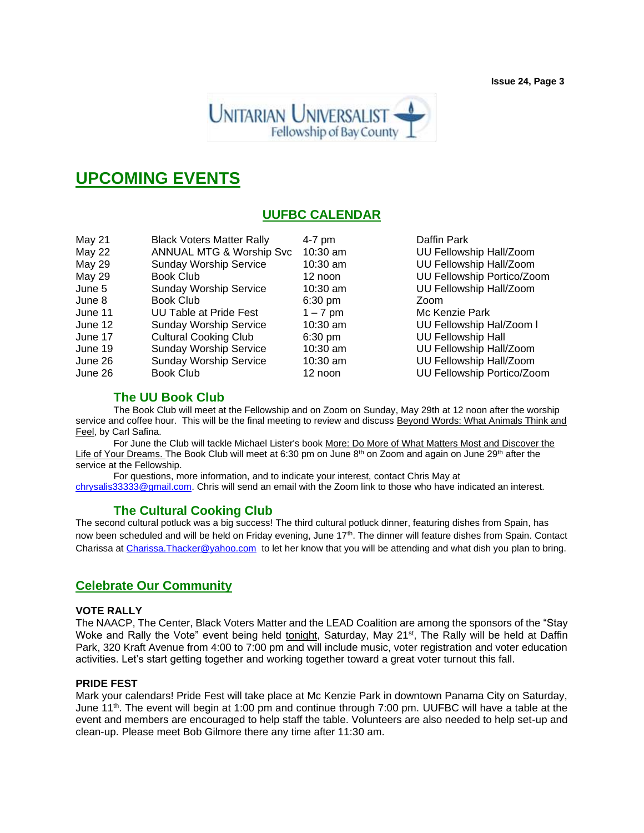**Issue 24, Page 3**



# **UPCOMING EVENTS**

## **UUFBC CALENDAR**

| May 21        | <b>Black Voters Matter Rally</b>    | $4-7$ pm          | Daffin Park                |
|---------------|-------------------------------------|-------------------|----------------------------|
| <b>May 22</b> | <b>ANNUAL MTG &amp; Worship Svc</b> | 10:30 am          | UU Fellowship Hall/Zoom    |
| <b>May 29</b> | <b>Sunday Worship Service</b>       | $10:30$ am        | UU Fellowship Hall/Zoom    |
| <b>May 29</b> | <b>Book Club</b>                    | 12 noon           | UU Fellowship Portico/Zoom |
| June 5        | <b>Sunday Worship Service</b>       | $10:30$ am        | UU Fellowship Hall/Zoom    |
| June 8        | Book Club                           | $6:30 \text{ pm}$ | Zoom                       |
| June 11       | <b>UU Table at Pride Fest</b>       | $1 - 7$ pm        | Mc Kenzie Park             |
| June 12       | <b>Sunday Worship Service</b>       | $10:30$ am        | UU Fellowship Hal/Zoom I   |
| June 17       | <b>Cultural Cooking Club</b>        | $6:30$ pm         | <b>UU Fellowship Hall</b>  |
| June 19       | <b>Sunday Worship Service</b>       | $10:30$ am        | UU Fellowship Hall/Zoom    |
| June 26       | <b>Sunday Worship Service</b>       | $10:30$ am        | UU Fellowship Hall/Zoom    |
| June 26       | Book Club                           | 12 noon           | UU Fellowship Portico/Zoom |

#### **The UU Book Club**

The Book Club will meet at the Fellowship and on Zoom on Sunday, May 29th at 12 noon after the worship service and coffee hour. This will be the final meeting to review and discuss Beyond Words: What Animals Think and Feel, by Carl Safina.

For June the Club will tackle Michael Lister's book More: Do More of What Matters Most and Discover the Life of Your Dreams. The Book Club will meet at 6:30 pm on June 8<sup>th</sup> on Zoom and again on June 29<sup>th</sup> after the service at the Fellowship.

For questions, more information, and to indicate your interest, contact Chris May at [chrysalis33333@gmail.com.](mailto:chrysalis33333@gmail.com) Chris will send an email with the Zoom link to those who have indicated an interest.

#### **The Cultural Cooking Club**

The second cultural potluck was a big success! The third cultural potluck dinner, featuring dishes from Spain, has now been scheduled and will be held on Friday evening, June 17<sup>th</sup>. The dinner will feature dishes from Spain. Contact Charissa at [Charissa.Thacker@yahoo.com](mailto:Charissa.Thacker@yahoo.com) to let her know that you will be attending and what dish you plan to bring.

#### **Celebrate Our Community**

#### **VOTE RALLY**

The NAACP, The Center, Black Voters Matter and the LEAD Coalition are among the sponsors of the "Stay Woke and Rally the Vote" event being held tonight, Saturday, May 21<sup>st</sup>, The Rally will be held at Daffin Park, 320 Kraft Avenue from 4:00 to 7:00 pm and will include music, voter registration and voter education activities. Let's start getting together and working together toward a great voter turnout this fall.

#### **PRIDE FEST**

Mark your calendars! Pride Fest will take place at Mc Kenzie Park in downtown Panama City on Saturday, June 11<sup>th</sup>. The event will begin at 1:00 pm and continue through 7:00 pm. UUFBC will have a table at the event and members are encouraged to help staff the table. Volunteers are also needed to help set-up and clean-up. Please meet Bob Gilmore there any time after 11:30 am.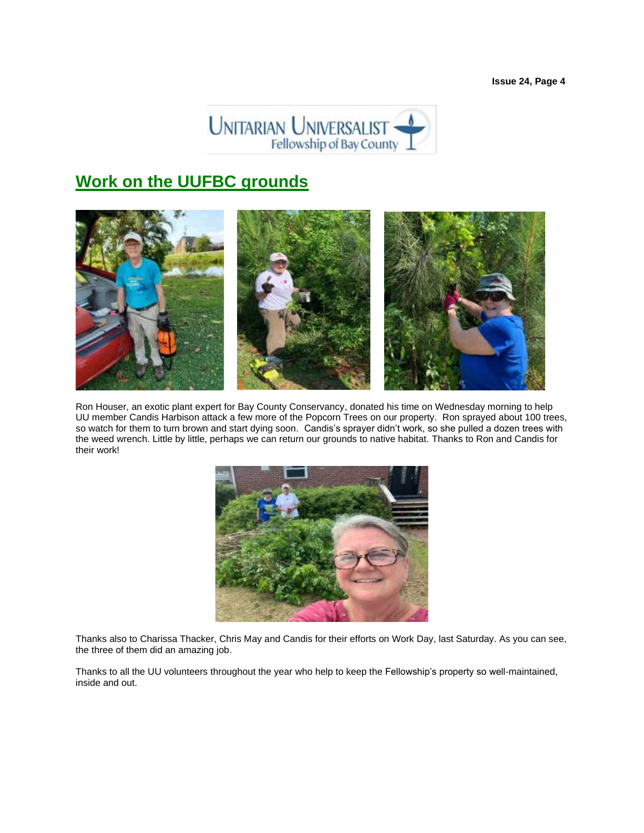

# **Work on the UUFBC grounds**



Ron Houser, an exotic plant expert for Bay County Conservancy, donated his time on Wednesday morning to help UU member Candis Harbison attack a few more of the Popcorn Trees on our property. Ron sprayed about 100 trees, so watch for them to turn brown and start dying soon. Candis's sprayer didn't work, so she pulled a dozen trees with the weed wrench. Little by little, perhaps we can return our grounds to native habitat. Thanks to Ron and Candis for their work!



Thanks also to Charissa Thacker, Chris May and Candis for their efforts on Work Day, last Saturday. As you can see, the three of them did an amazing job.

Thanks to all the UU volunteers throughout the year who help to keep the Fellowship's property so well-maintained, inside and out.